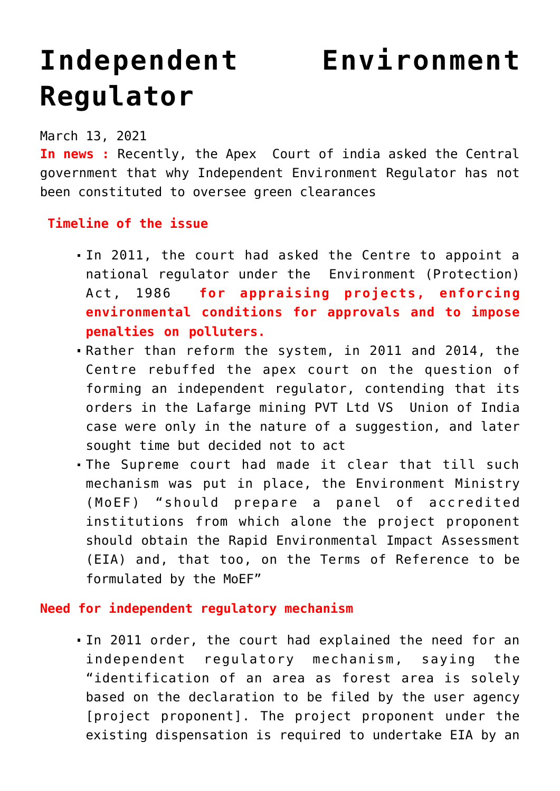## **[Independent Environment](https://journalsofindia.com/independent-environment-regulator/) [Regulator](https://journalsofindia.com/independent-environment-regulator/)**

March 13, 2021

**In news :** Recently, the Apex Court of india asked the Central government that why Independent Environment Regulator has not been constituted to oversee green clearances

## **Timeline of the issue**

- In 2011, the court had asked the Centre to appoint a national regulator under the Environment (Protection) Act, 1986 **for appraising projects, enforcing environmental conditions for approvals and to impose penalties on polluters.**
- Rather than reform the system, in 2011 and 2014, the Centre rebuffed the apex court on the question of forming an independent regulator, contending that its orders in the Lafarge mining PVT Ltd VS Union of India case were only in the nature of a suggestion, and later sought time but decided not to act
- The Supreme court had made it clear that till such mechanism was put in place, the Environment Ministry (MoEF) "should prepare a panel of accredited institutions from which alone the project proponent should obtain the Rapid Environmental Impact Assessment (EIA) and, that too, on the Terms of Reference to be formulated by the MoEF"

## **Need for independent regulatory mechanism**

In 2011 order, the court had explained the need for an independent regulatory mechanism, saying the "identification of an area as forest area is solely based on the declaration to be filed by the user agency [project proponent]. The project proponent under the existing dispensation is required to undertake EIA by an